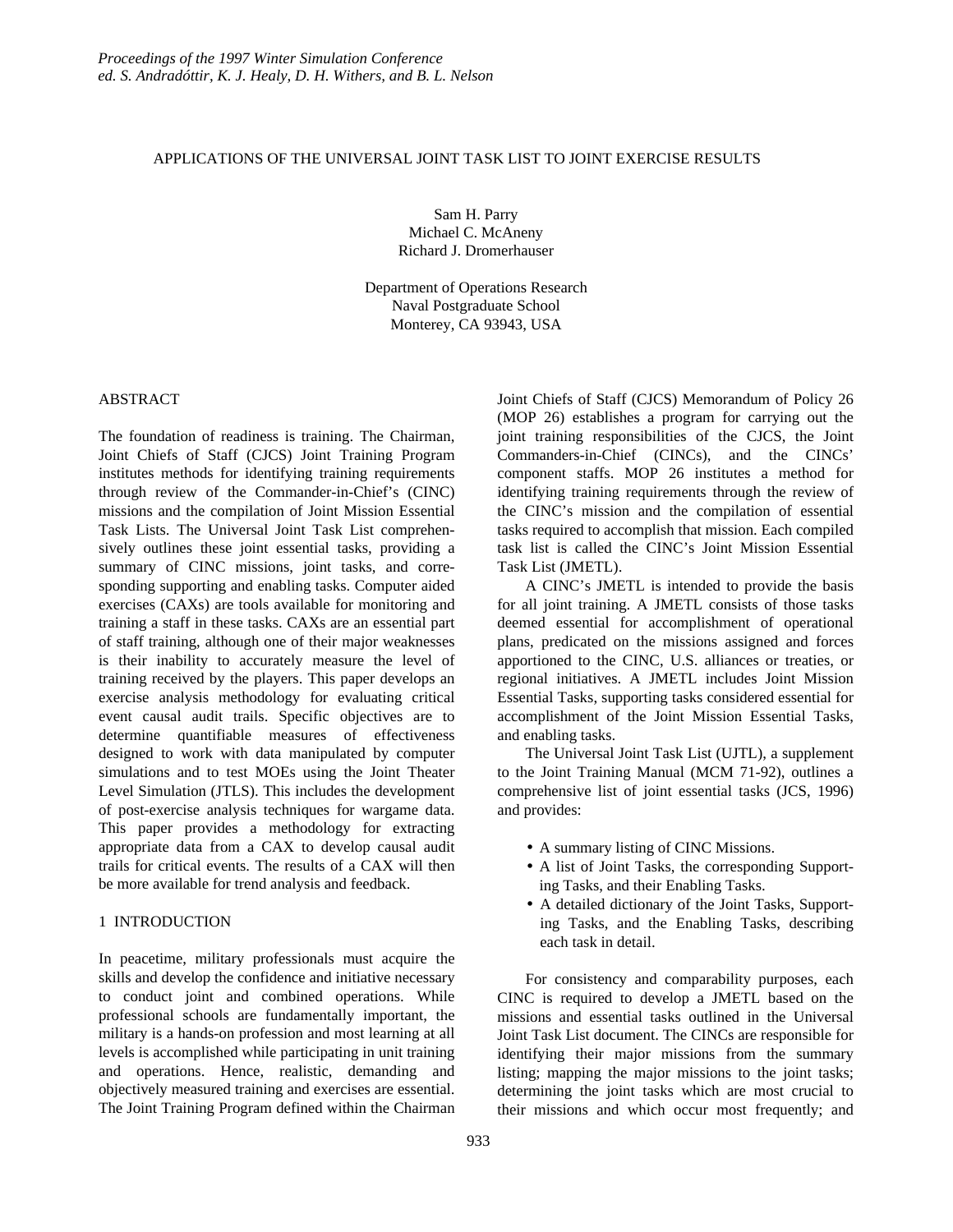## APPLICATIONS OF THE UNIVERSAL JOINT TASK LIST TO JOINT EXERCISE RESULTS

Sam H. Parry Michael C. McAneny Richard J. Dromerhauser

Department of Operations Research Naval Postgraduate School Monterey, CA 93943, USA

### ABSTRACT

The foundation of readiness is training. The Chairman, Joint Chiefs of Staff (CJCS) Joint Training Program institutes methods for identifying training requirements through review of the Commander-in-Chief's (CINC) missions and the compilation of Joint Mission Essential Task Lists. The Universal Joint Task List comprehensively outlines these joint essential tasks, providing a summary of CINC missions, joint tasks, and corresponding supporting and enabling tasks. Computer aided exercises (CAXs) are tools available for monitoring and training a staff in these tasks. CAXs are an essential part of staff training, although one of their major weaknesses is their inability to accurately measure the level of training received by the players. This paper develops an exercise analysis methodology for evaluating critical event causal audit trails. Specific objectives are to determine quantifiable measures of effectiveness designed to work with data manipulated by computer simulations and to test MOEs using the Joint Theater Level Simulation (JTLS). This includes the development of post-exercise analysis techniques for wargame data. This paper provides a methodology for extracting appropriate data from a CAX to develop causal audit trails for critical events. The results of a CAX will then be more available for trend analysis and feedback.

# 1 INTRODUCTION

In peacetime, military professionals must acquire the skills and develop the confidence and initiative necessary to conduct joint and combined operations. While professional schools are fundamentally important, the military is a hands-on profession and most learning at all levels is accomplished while participating in unit training and operations. Hence, realistic, demanding and objectively measured training and exercises are essential. The Joint Training Program defined within the Chairman Joint Chiefs of Staff (CJCS) Memorandum of Policy 26 (MOP 26) establishes a program for carrying out the joint training responsibilities of the CJCS, the Joint Commanders-in-Chief (CINCs), and the CINCs' component staffs. MOP 26 institutes a method for identifying training requirements through the review of the CINC's mission and the compilation of essential tasks required to accomplish that mission. Each compiled task list is called the CINC's Joint Mission Essential Task List (JMETL).

A CINC's JMETL is intended to provide the basis for all joint training. A JMETL consists of those tasks deemed essential for accomplishment of operational plans, predicated on the missions assigned and forces apportioned to the CINC, U.S. alliances or treaties, or regional initiatives. A JMETL includes Joint Mission Essential Tasks, supporting tasks considered essential for accomplishment of the Joint Mission Essential Tasks, and enabling tasks.

The Universal Joint Task List (UJTL), a supplement to the Joint Training Manual (MCM 71-92), outlines a comprehensive list of joint essential tasks (JCS, 1996) and provides:

- A summary listing of CINC Missions.
- A list of Joint Tasks, the corresponding Supporting Tasks, and their Enabling Tasks.
- A detailed dictionary of the Joint Tasks, Supporting Tasks, and the Enabling Tasks, describing each task in detail.

For consistency and comparability purposes, each CINC is required to develop a JMETL based on the missions and essential tasks outlined in the Universal Joint Task List document. The CINCs are responsible for identifying their major missions from the summary listing; mapping the major missions to the joint tasks; determining the joint tasks which are most crucial to their missions and which occur most frequently; and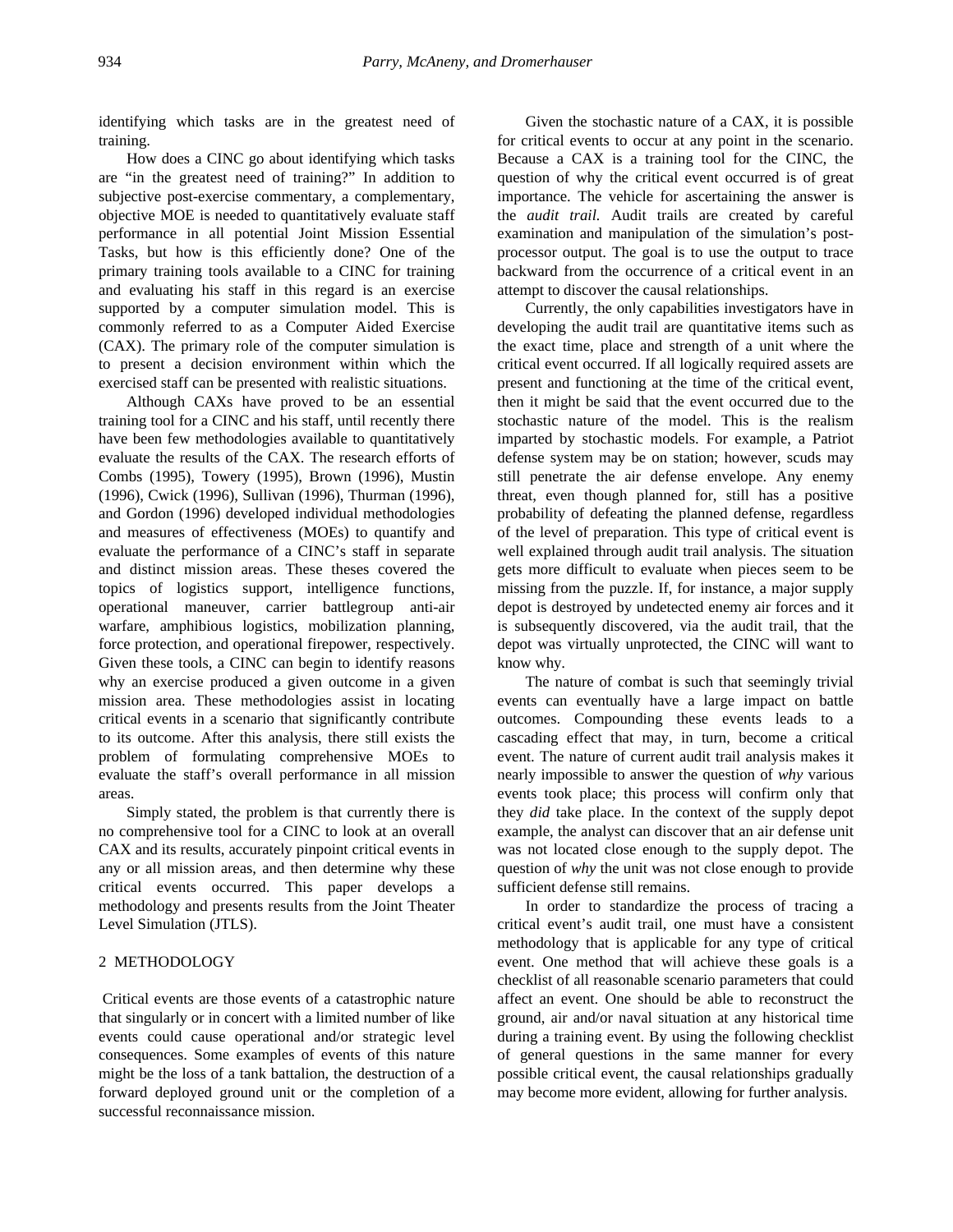identifying which tasks are in the greatest need of training.

How does a CINC go about identifying which tasks are "in the greatest need of training?" In addition to subjective post-exercise commentary, a complementary, objective MOE is needed to quantitatively evaluate staff performance in all potential Joint Mission Essential Tasks, but how is this efficiently done? One of the primary training tools available to a CINC for training and evaluating his staff in this regard is an exercise supported by a computer simulation model. This is commonly referred to as a Computer Aided Exercise (CAX). The primary role of the computer simulation is to present a decision environment within which the exercised staff can be presented with realistic situations.

Although CAXs have proved to be an essential training tool for a CINC and his staff, until recently there have been few methodologies available to quantitatively evaluate the results of the CAX. The research efforts of Combs (1995), Towery (1995), Brown (1996), Mustin (1996), Cwick (1996), Sullivan (1996), Thurman (1996), and Gordon (1996) developed individual methodologies and measures of effectiveness (MOEs) to quantify and evaluate the performance of a CINC's staff in separate and distinct mission areas. These theses covered the topics of logistics support, intelligence functions, operational maneuver, carrier battlegroup anti-air warfare, amphibious logistics, mobilization planning, force protection, and operational firepower, respectively. Given these tools, a CINC can begin to identify reasons why an exercise produced a given outcome in a given mission area. These methodologies assist in locating critical events in a scenario that significantly contribute to its outcome. After this analysis, there still exists the problem of formulating comprehensive MOEs to evaluate the staff's overall performance in all mission areas.

Simply stated, the problem is that currently there is no comprehensive tool for a CINC to look at an overall CAX and its results, accurately pinpoint critical events in any or all mission areas, and then determine why these critical events occurred. This paper develops a methodology and presents results from the Joint Theater Level Simulation (JTLS).

## 2 METHODOLOGY

 Critical events are those events of a catastrophic nature that singularly or in concert with a limited number of like events could cause operational and/or strategic level consequences. Some examples of events of this nature might be the loss of a tank battalion, the destruction of a forward deployed ground unit or the completion of a successful reconnaissance mission.

Given the stochastic nature of a CAX, it is possible for critical events to occur at any point in the scenario. Because a CAX is a training tool for the CINC, the question of why the critical event occurred is of great importance. The vehicle for ascertaining the answer is the *audit trail.* Audit trails are created by careful examination and manipulation of the simulation's postprocessor output. The goal is to use the output to trace backward from the occurrence of a critical event in an attempt to discover the causal relationships.

Currently, the only capabilities investigators have in developing the audit trail are quantitative items such as the exact time, place and strength of a unit where the critical event occurred. If all logically required assets are present and functioning at the time of the critical event, then it might be said that the event occurred due to the stochastic nature of the model. This is the realism imparted by stochastic models. For example, a Patriot defense system may be on station; however, scuds may still penetrate the air defense envelope. Any enemy threat, even though planned for, still has a positive probability of defeating the planned defense, regardless of the level of preparation. This type of critical event is well explained through audit trail analysis. The situation gets more difficult to evaluate when pieces seem to be missing from the puzzle. If, for instance, a major supply depot is destroyed by undetected enemy air forces and it is subsequently discovered, via the audit trail, that the depot was virtually unprotected, the CINC will want to know why.

The nature of combat is such that seemingly trivial events can eventually have a large impact on battle outcomes. Compounding these events leads to a cascading effect that may, in turn, become a critical event. The nature of current audit trail analysis makes it nearly impossible to answer the question of *why* various events took place; this process will confirm only that they *did* take place. In the context of the supply depot example, the analyst can discover that an air defense unit was not located close enough to the supply depot. The question of *why* the unit was not close enough to provide sufficient defense still remains.

In order to standardize the process of tracing a critical event's audit trail, one must have a consistent methodology that is applicable for any type of critical event. One method that will achieve these goals is a checklist of all reasonable scenario parameters that could affect an event. One should be able to reconstruct the ground, air and/or naval situation at any historical time during a training event. By using the following checklist of general questions in the same manner for every possible critical event, the causal relationships gradually may become more evident, allowing for further analysis.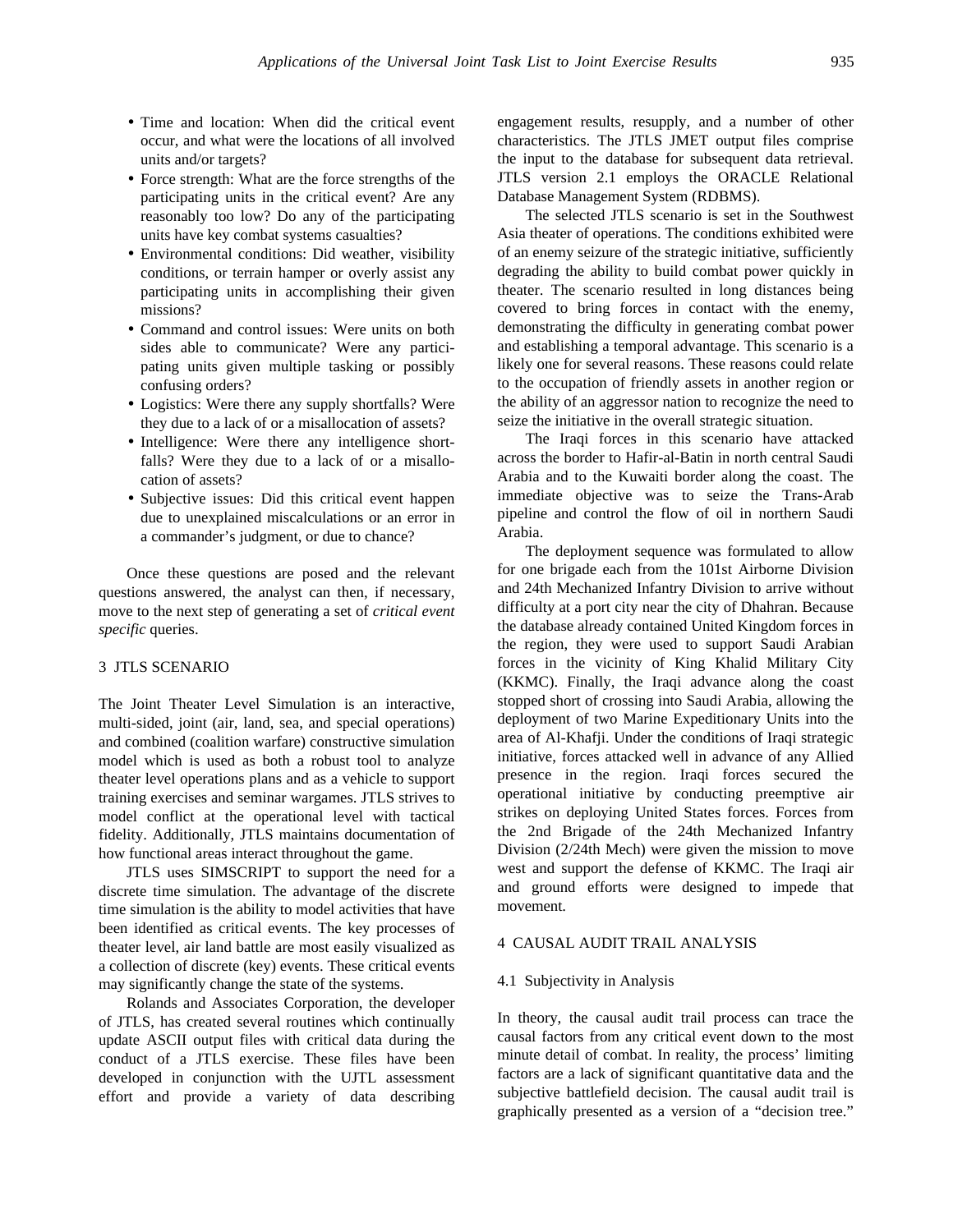- Time and location: When did the critical event occur, and what were the locations of all involved units and/or targets?
- Force strength: What are the force strengths of the participating units in the critical event? Are any reasonably too low? Do any of the participating units have key combat systems casualties?
- Environmental conditions: Did weather, visibility conditions, or terrain hamper or overly assist any participating units in accomplishing their given missions?
- Command and control issues: Were units on both sides able to communicate? Were any participating units given multiple tasking or possibly confusing orders?
- Logistics: Were there any supply shortfalls? Were they due to a lack of or a misallocation of assets?
- Intelligence: Were there any intelligence shortfalls? Were they due to a lack of or a misallocation of assets?
- Subjective issues: Did this critical event happen due to unexplained miscalculations or an error in a commander's judgment, or due to chance?

Once these questions are posed and the relevant questions answered, the analyst can then, if necessary, move to the next step of generating a set of *critical event specific* queries.

# 3 JTLS SCENARIO

The Joint Theater Level Simulation is an interactive, multi-sided, joint (air, land, sea, and special operations) and combined (coalition warfare) constructive simulation model which is used as both a robust tool to analyze theater level operations plans and as a vehicle to support training exercises and seminar wargames. JTLS strives to model conflict at the operational level with tactical fidelity. Additionally, JTLS maintains documentation of how functional areas interact throughout the game.

JTLS uses SIMSCRIPT to support the need for a discrete time simulation. The advantage of the discrete time simulation is the ability to model activities that have been identified as critical events. The key processes of theater level, air land battle are most easily visualized as a collection of discrete (key) events. These critical events may significantly change the state of the systems.

Rolands and Associates Corporation, the developer of JTLS, has created several routines which continually update ASCII output files with critical data during the conduct of a JTLS exercise. These files have been developed in conjunction with the UJTL assessment effort and provide a variety of data describing

engagement results, resupply, and a number of other characteristics. The JTLS JMET output files comprise the input to the database for subsequent data retrieval. JTLS version 2.1 employs the ORACLE Relational Database Management System (RDBMS).

The selected JTLS scenario is set in the Southwest Asia theater of operations. The conditions exhibited were of an enemy seizure of the strategic initiative, sufficiently degrading the ability to build combat power quickly in theater. The scenario resulted in long distances being covered to bring forces in contact with the enemy, demonstrating the difficulty in generating combat power and establishing a temporal advantage. This scenario is a likely one for several reasons. These reasons could relate to the occupation of friendly assets in another region or the ability of an aggressor nation to recognize the need to seize the initiative in the overall strategic situation.

The Iraqi forces in this scenario have attacked across the border to Hafir-al-Batin in north central Saudi Arabia and to the Kuwaiti border along the coast. The immediate objective was to seize the Trans-Arab pipeline and control the flow of oil in northern Saudi Arabia.

The deployment sequence was formulated to allow for one brigade each from the 101st Airborne Division and 24th Mechanized Infantry Division to arrive without difficulty at a port city near the city of Dhahran. Because the database already contained United Kingdom forces in the region, they were used to support Saudi Arabian forces in the vicinity of King Khalid Military City (KKMC). Finally, the Iraqi advance along the coast stopped short of crossing into Saudi Arabia, allowing the deployment of two Marine Expeditionary Units into the area of Al-Khafji. Under the conditions of Iraqi strategic initiative, forces attacked well in advance of any Allied presence in the region. Iraqi forces secured the operational initiative by conducting preemptive air strikes on deploying United States forces. Forces from the 2nd Brigade of the 24th Mechanized Infantry Division (2/24th Mech) were given the mission to move west and support the defense of KKMC. The Iraqi air and ground efforts were designed to impede that movement.

#### 4 CAUSAL AUDIT TRAIL ANALYSIS

#### 4.1 Subjectivity in Analysis

In theory, the causal audit trail process can trace the causal factors from any critical event down to the most minute detail of combat. In reality, the process' limiting factors are a lack of significant quantitative data and the subjective battlefield decision. The causal audit trail is graphically presented as a version of a "decision tree."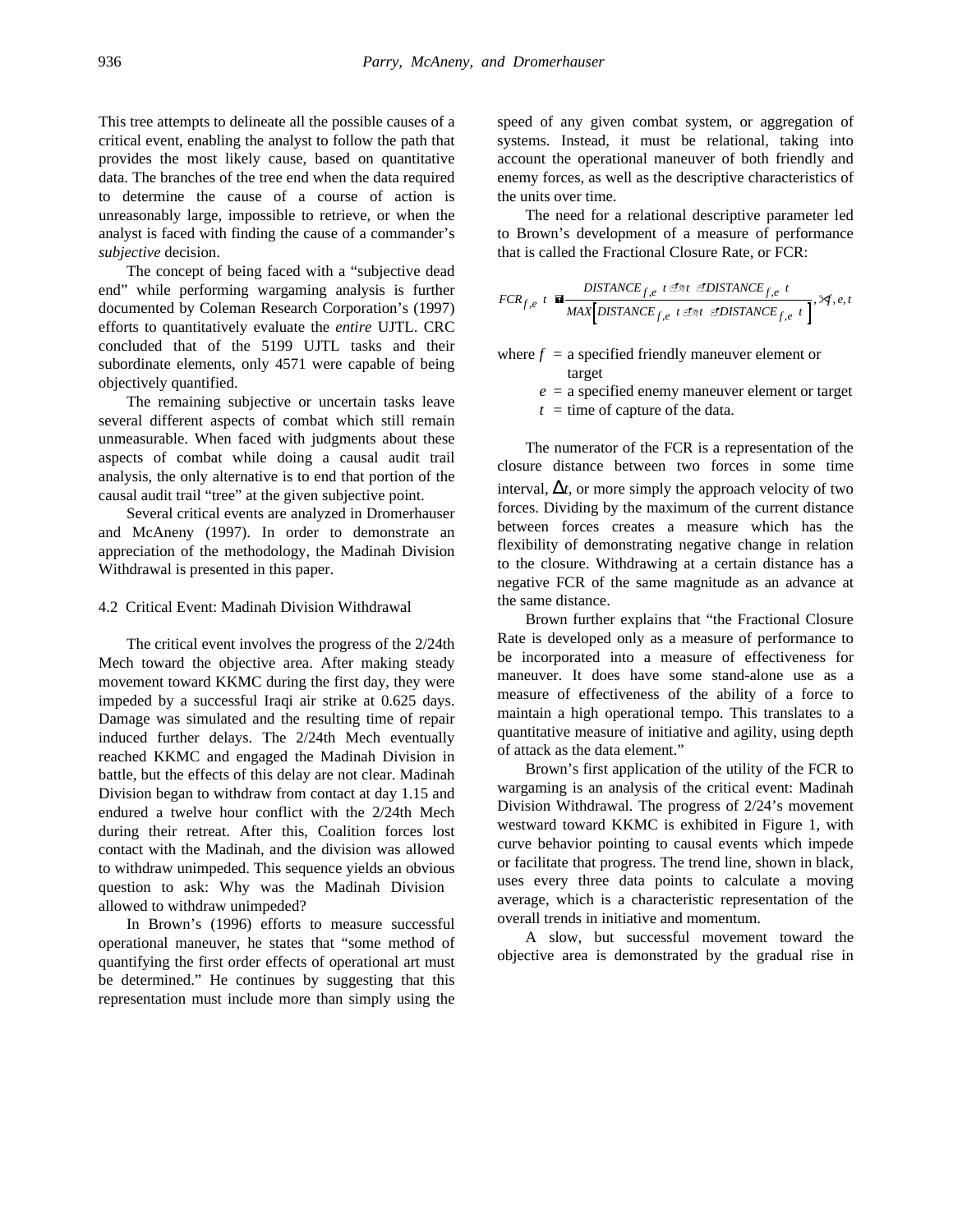This tree attempts to delineate all the possible causes of a critical event, enabling the analyst to follow the path that provides the most likely cause, based on quantitative data. The branches of the tree end when the data required to determine the cause of a course of action is unreasonably large, impossible to retrieve, or when the analyst is faced with finding the cause of a commander's *subjective* decision.

The concept of being faced with a "subjective dead end" while performing wargaming analysis is further documented by Coleman Research Corporation's (1997) efforts to quantitatively evaluate the *entire* UJTL. CRC concluded that of the 5199 UJTL tasks and their subordinate elements, only 4571 were capable of being objectively quantified.

The remaining subjective or uncertain tasks leave several different aspects of combat which still remain unmeasurable. When faced with judgments about these aspects of combat while doing a causal audit trail analysis, the only alternative is to end that portion of the causal audit trail "tree" at the given subjective point.

Several critical events are analyzed in Dromerhauser and McAneny (1997). In order to demonstrate an appreciation of the methodology, the Madinah Division Withdrawal is presented in this paper.

#### 4.2 Critical Event: Madinah Division Withdrawal

The critical event involves the progress of the 2/24th Mech toward the objective area. After making steady movement toward KKMC during the first day, they were impeded by a successful Iraqi air strike at 0.625 days. Damage was simulated and the resulting time of repair induced further delays. The 2/24th Mech eventually reached KKMC and engaged the Madinah Division in battle, but the effects of this delay are not clear. Madinah Division began to withdraw from contact at day 1.15 and endured a twelve hour conflict with the 2/24th Mech during their retreat. After this, Coalition forces lost contact with the Madinah, and the division was allowed to withdraw unimpeded. This sequence yields an obvious question to ask: Why was the Madinah Division allowed to withdraw unimpeded?

In Brown's (1996) efforts to measure successful operational maneuver, he states that "some method of quantifying the first order effects of operational art must be determined." He continues by suggesting that this representation must include more than simply using the

speed of any given combat system, or aggregation of systems. Instead, it must be relational, taking into account the operational maneuver of both friendly and enemy forces, as well as the descriptive characteristics of the units over time.

The need for a relational descriptive parameter led to Brown's development of a measure of performance that is called the Fractional Closure Rate, or FCR:

*FCR <sup>t</sup> DISTANCE <sup>t</sup> <sup>t</sup> DISTANCE <sup>t</sup> MAX DISTANCE t t DISTANCE t f e t f e f e f e f e f e* , , , , , <sup>=</sup> , , , - - - - " D D

where  $f = a$  specified friendly maneuver element or target

 $e = a$  specified enemy maneuver element or target

 $t =$  time of capture of the data.

The numerator of the FCR is a representation of the closure distance between two forces in some time interval,  $\Delta t$ , or more simply the approach velocity of two forces. Dividing by the maximum of the current distance between forces creates a measure which has the flexibility of demonstrating negative change in relation to the closure. Withdrawing at a certain distance has a negative FCR of the same magnitude as an advance at the same distance.

Brown further explains that "the Fractional Closure Rate is developed only as a measure of performance to be incorporated into a measure of effectiveness for maneuver. It does have some stand-alone use as a measure of effectiveness of the ability of a force to maintain a high operational tempo. This translates to a quantitative measure of initiative and agility, using depth of attack as the data element."

Brown's first application of the utility of the FCR to wargaming is an analysis of the critical event: Madinah Division Withdrawal. The progress of 2/24's movement westward toward KKMC is exhibited in Figure 1, with curve behavior pointing to causal events which impede or facilitate that progress. The trend line, shown in black, uses every three data points to calculate a moving average, which is a characteristic representation of the overall trends in initiative and momentum.

A slow, but successful movement toward the objective area is demonstrated by the gradual rise in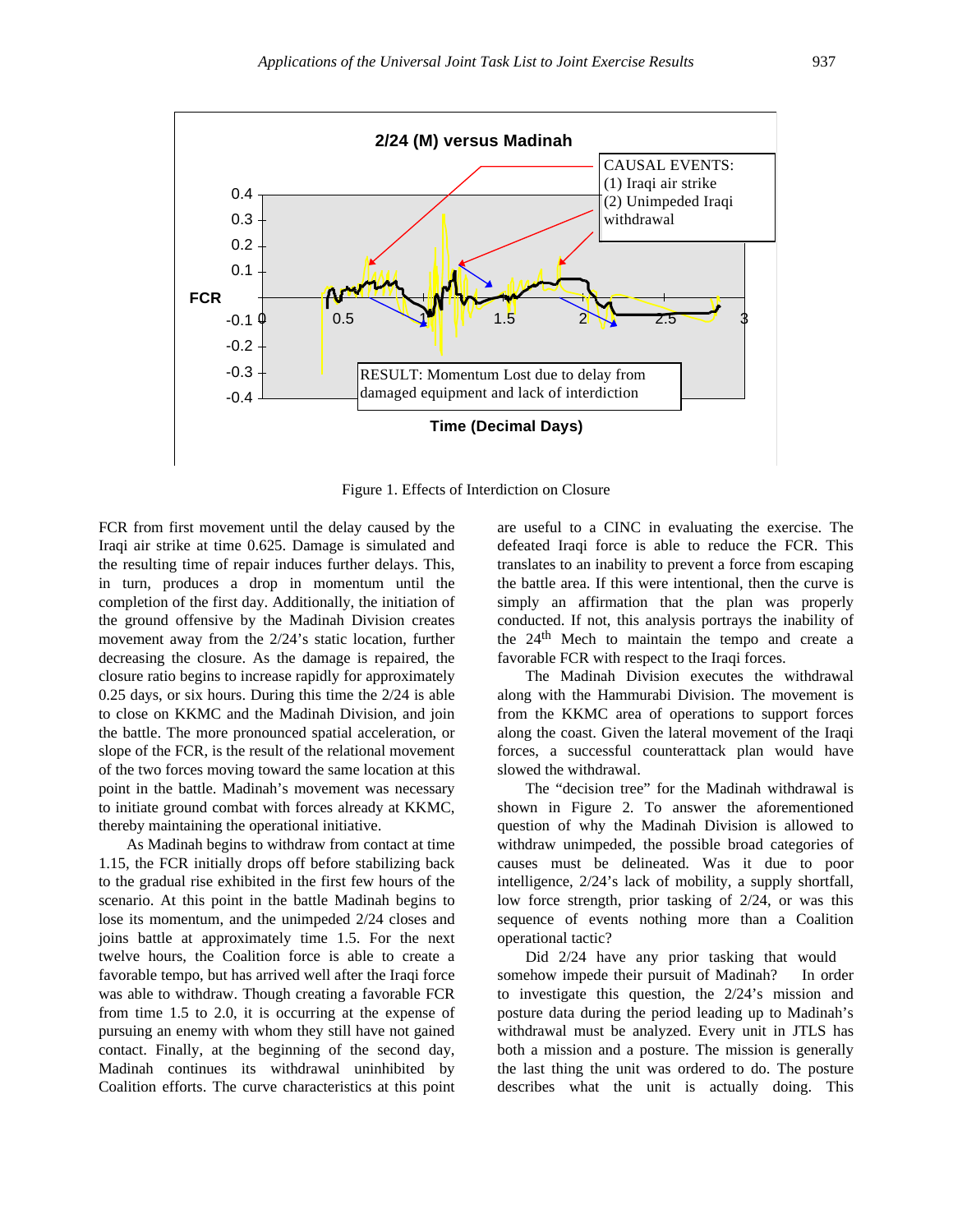

Figure 1. Effects of Interdiction on Closure

FCR from first movement until the delay caused by the Iraqi air strike at time 0.625. Damage is simulated and the resulting time of repair induces further delays. This, in turn, produces a drop in momentum until the completion of the first day. Additionally, the initiation of the ground offensive by the Madinah Division creates movement away from the 2/24's static location, further decreasing the closure. As the damage is repaired, the closure ratio begins to increase rapidly for approximately 0.25 days, or six hours. During this time the 2/24 is able to close on KKMC and the Madinah Division, and join the battle. The more pronounced spatial acceleration, or slope of the FCR, is the result of the relational movement of the two forces moving toward the same location at this point in the battle. Madinah's movement was necessary to initiate ground combat with forces already at KKMC, thereby maintaining the operational initiative.

As Madinah begins to withdraw from contact at time 1.15, the FCR initially drops off before stabilizing back to the gradual rise exhibited in the first few hours of the scenario. At this point in the battle Madinah begins to lose its momentum, and the unimpeded 2/24 closes and joins battle at approximately time 1.5. For the next twelve hours, the Coalition force is able to create a favorable tempo, but has arrived well after the Iraqi force was able to withdraw. Though creating a favorable FCR from time 1.5 to 2.0, it is occurring at the expense of pursuing an enemy with whom they still have not gained contact. Finally, at the beginning of the second day, Madinah continues its withdrawal uninhibited by Coalition efforts. The curve characteristics at this point

are useful to a CINC in evaluating the exercise. The defeated Iraqi force is able to reduce the FCR. This translates to an inability to prevent a force from escaping the battle area. If this were intentional, then the curve is simply an affirmation that the plan was properly conducted. If not, this analysis portrays the inability of the 24th Mech to maintain the tempo and create a favorable FCR with respect to the Iraqi forces.

The Madinah Division executes the withdrawal along with the Hammurabi Division. The movement is from the KKMC area of operations to support forces along the coast. Given the lateral movement of the Iraqi forces, a successful counterattack plan would have slowed the withdrawal.

The "decision tree" for the Madinah withdrawal is shown in Figure 2. To answer the aforementioned question of why the Madinah Division is allowed to withdraw unimpeded, the possible broad categories of causes must be delineated. Was it due to poor intelligence, 2/24's lack of mobility, a supply shortfall, low force strength, prior tasking of 2/24, or was this sequence of events nothing more than a Coalition operational tactic?

Did 2/24 have any prior tasking that would somehow impede their pursuit of Madinah? In order to investigate this question, the 2/24's mission and posture data during the period leading up to Madinah's withdrawal must be analyzed. Every unit in JTLS has both a mission and a posture. The mission is generally the last thing the unit was ordered to do. The posture describes what the unit is actually doing. This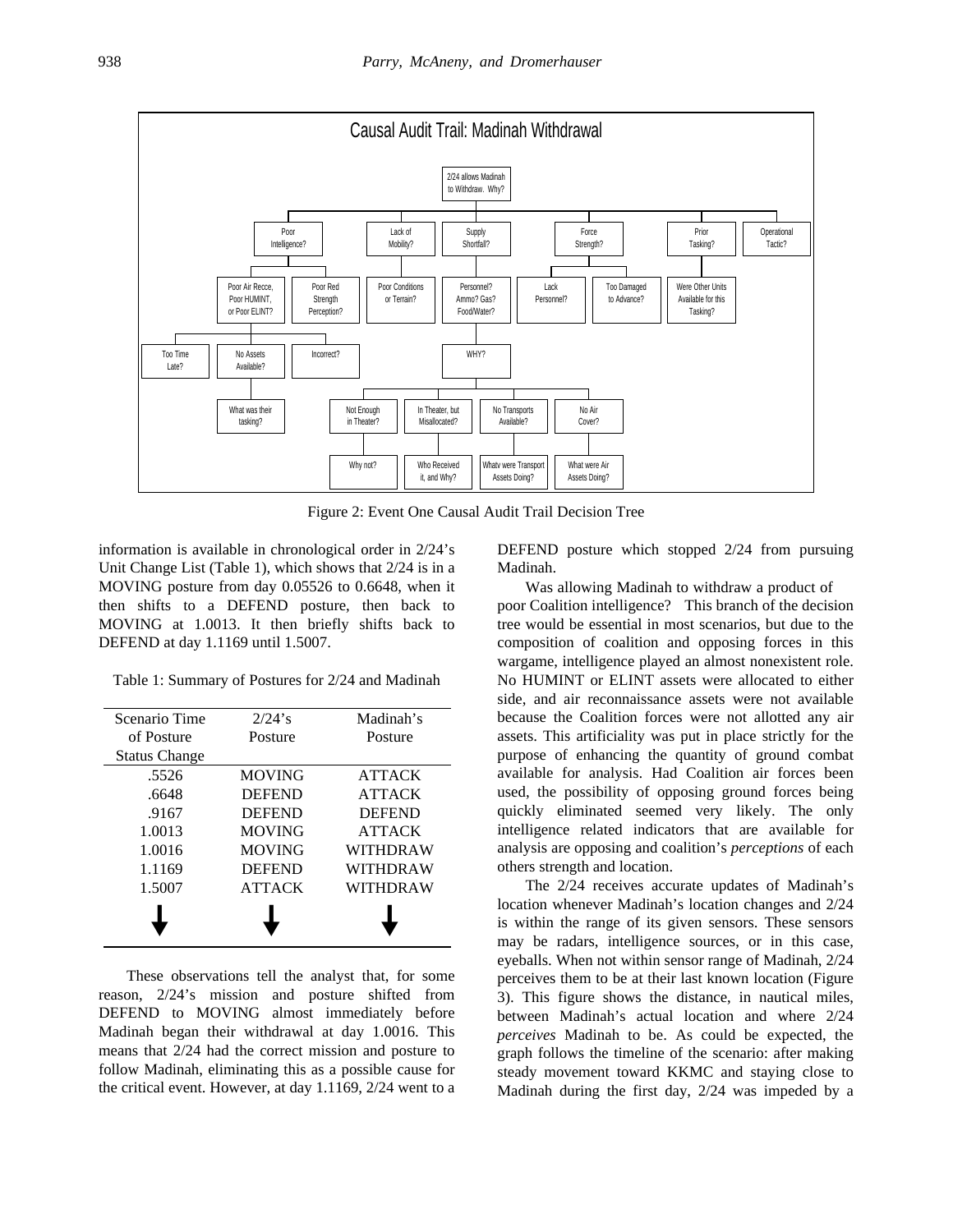

Figure 2: Event One Causal Audit Trail Decision Tree

information is available in chronological order in 2/24's Unit Change List (Table 1), which shows that 2/24 is in a MOVING posture from day 0.05526 to 0.6648, when it then shifts to a DEFEND posture, then back to MOVING at 1.0013. It then briefly shifts back to DEFEND at day 1.1169 until 1.5007.

Table 1: Summary of Postures for 2/24 and Madinah

| Scenario Time        | $2/24$ 's     | Madinah's     |
|----------------------|---------------|---------------|
| of Posture           | Posture       | Posture       |
| <b>Status Change</b> |               |               |
| .5526                | <b>MOVING</b> | <b>ATTACK</b> |
| .6648                | <b>DEFEND</b> | <b>ATTACK</b> |
| .9167                | <b>DEFEND</b> | <b>DEFEND</b> |
| 1.0013               | <b>MOVING</b> | <b>ATTACK</b> |
| 1.0016               | <b>MOVING</b> | WITHDRAW      |
| 1.1169               | <b>DEFEND</b> | WITHDRAW      |
| 1.5007               | <b>ATTACK</b> | WITHDRAW      |
|                      |               |               |

These observations tell the analyst that, for some reason, 2/24's mission and posture shifted from DEFEND to MOVING almost immediately before Madinah began their withdrawal at day 1.0016. This means that 2/24 had the correct mission and posture to follow Madinah, eliminating this as a possible cause for the critical event. However, at day 1.1169, 2/24 went to a

DEFEND posture which stopped 2/24 from pursuing Madinah.

Was allowing Madinah to withdraw a product of poor Coalition intelligence? This branch of the decision tree would be essential in most scenarios, but due to the composition of coalition and opposing forces in this wargame, intelligence played an almost nonexistent role. No HUMINT or ELINT assets were allocated to either side, and air reconnaissance assets were not available because the Coalition forces were not allotted any air assets. This artificiality was put in place strictly for the purpose of enhancing the quantity of ground combat available for analysis. Had Coalition air forces been used, the possibility of opposing ground forces being quickly eliminated seemed very likely. The only intelligence related indicators that are available for analysis are opposing and coalition's *perceptions* of each others strength and location.

The 2/24 receives accurate updates of Madinah's location whenever Madinah's location changes and 2/24 is within the range of its given sensors. These sensors may be radars, intelligence sources, or in this case, eyeballs. When not within sensor range of Madinah, 2/24 perceives them to be at their last known location (Figure 3). This figure shows the distance, in nautical miles, between Madinah's actual location and where 2/24 *perceives* Madinah to be. As could be expected, the graph follows the timeline of the scenario: after making steady movement toward KKMC and staying close to Madinah during the first day, 2/24 was impeded by a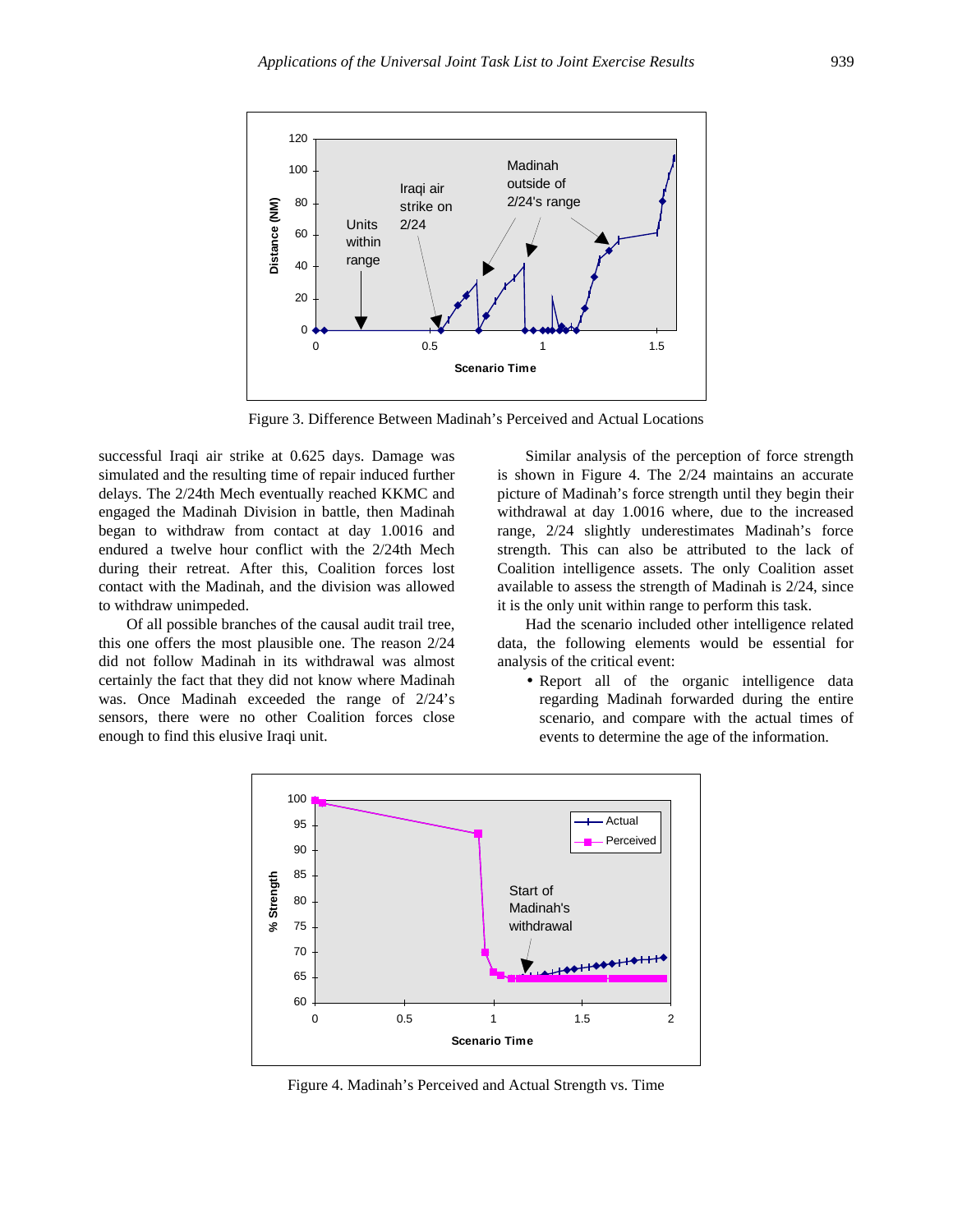

Figure 3. Difference Between Madinah's Perceived and Actual Locations

successful Iraqi air strike at 0.625 days. Damage was simulated and the resulting time of repair induced further delays. The 2/24th Mech eventually reached KKMC and engaged the Madinah Division in battle, then Madinah began to withdraw from contact at day 1.0016 and endured a twelve hour conflict with the 2/24th Mech during their retreat. After this, Coalition forces lost contact with the Madinah, and the division was allowed to withdraw unimpeded.

Of all possible branches of the causal audit trail tree, this one offers the most plausible one. The reason 2/24 did not follow Madinah in its withdrawal was almost certainly the fact that they did not know where Madinah was. Once Madinah exceeded the range of 2/24's sensors, there were no other Coalition forces close enough to find this elusive Iraqi unit.

Similar analysis of the perception of force strength is shown in Figure 4. The 2/24 maintains an accurate picture of Madinah's force strength until they begin their withdrawal at day 1.0016 where, due to the increased range, 2/24 slightly underestimates Madinah's force strength. This can also be attributed to the lack of Coalition intelligence assets. The only Coalition asset available to assess the strength of Madinah is 2/24, since it is the only unit within range to perform this task.

Had the scenario included other intelligence related data, the following elements would be essential for analysis of the critical event:

• Report all of the organic intelligence data regarding Madinah forwarded during the entire scenario, and compare with the actual times of events to determine the age of the information.



Figure 4. Madinah's Perceived and Actual Strength vs. Time